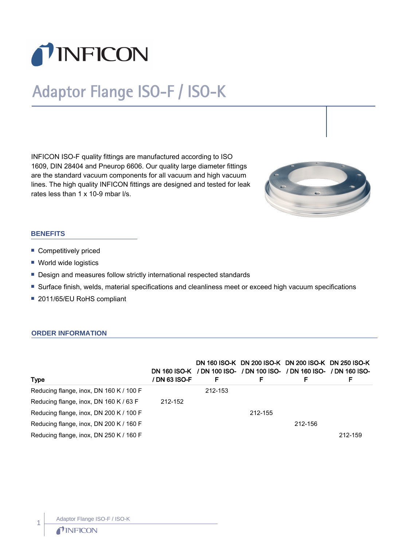

# Adaptor Flange ISO-F / ISO-K

INFICON ISO-F quality fittings are manufactured according to ISO 1609, DIN 28404 and Pneurop 6606. Our quality large diameter fittings are the standard vacuum components for all vacuum and high vacuum lines. The high quality INFICON fittings are designed and tested for leak rates less than 1 x 10-9 mbar l/s.



## **BENEFITS**

- **Competitively priced**
- World wide logistics
- **Design and measures follow strictly international respected standards**
- n Surface finish, welds, material specifications and cleanliness meet or exceed high vacuum specifications
- 2011/65/EU RoHS compliant

#### **ORDER INFORMATION**

| <b>Type</b>                             | / DN 63 ISO-F | F       | DN 160 ISO-K DN 200 ISO-K DN 200 ISO-K DN 250 ISO-K<br>DN 160 ISO-K / DN 100 ISO- / DN 100 ISO- / DN 160 ISO- / DN 160 ISO-<br>F | F       | F       |
|-----------------------------------------|---------------|---------|----------------------------------------------------------------------------------------------------------------------------------|---------|---------|
| Reducing flange, inox, DN 160 K / 100 F |               | 212-153 |                                                                                                                                  |         |         |
| Reducing flange, inox, DN 160 K / 63 F  | 212-152       |         |                                                                                                                                  |         |         |
| Reducing flange, inox, DN 200 K / 100 F |               |         | 212-155                                                                                                                          |         |         |
| Reducing flange, inox, DN 200 K / 160 F |               |         |                                                                                                                                  | 212-156 |         |
| Reducing flange, inox, DN 250 K / 160 F |               |         |                                                                                                                                  |         | 212-159 |

1